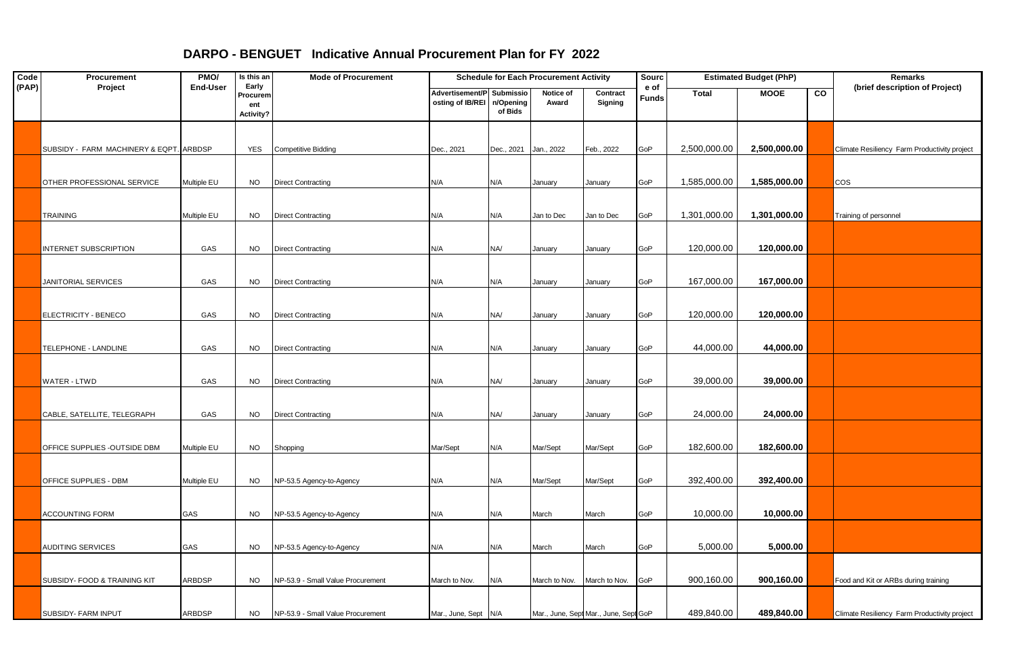| Code  | Procurement                             | PMO/            | Is this an                            | <b>Mode of Procurement</b>        | <b>Schedule for Each Procurement Activity</b>           |                       |                    |                                       | Sourc         | <b>Estimated Budget (PhP)</b> |              |    | Remarks                                      |
|-------|-----------------------------------------|-----------------|---------------------------------------|-----------------------------------|---------------------------------------------------------|-----------------------|--------------------|---------------------------------------|---------------|-------------------------------|--------------|----|----------------------------------------------|
| (PAP) | Project                                 | <b>End-User</b> | Early<br>Procurem<br>ent<br>Activity? |                                   | Advertisement/P Submissio<br>osting of IB/REI n/Opening | of Bids               | Notice of<br>Award | Contract<br>Signing                   | e of<br>Funds | <b>Total</b>                  | <b>MOOE</b>  | CO | (brief description of Project)               |
|       | SUBSIDY - FARM MACHINERY & EQPT. ARBDSP |                 | YES                                   | <b>Competitive Bidding</b>        | Dec., 2021                                              | Dec., 2021 Jan., 2022 |                    | Feb., 2022                            | GoP           | 2,500,000.00                  | 2,500,000.00 |    | Climate Resiliency Farm Productivity project |
|       | OTHER PROFESSIONAL SERVICE              | Multiple EU     | <b>NO</b>                             | <b>Direct Contracting</b>         | N/A                                                     | N/A                   | January            | January                               | GoP           | 1,585,000.00                  | 1,585,000.00 |    | cos                                          |
|       | <b>TRAINING</b>                         | Multiple EU     | <b>NO</b>                             | <b>Direct Contracting</b>         | N/A                                                     | N/A                   | Jan to Dec         | Jan to Dec                            | GoP           | 1,301,000.00                  | 1,301,000.00 |    | Training of personnel                        |
|       | NTERNET SUBSCRIPTION                    | GAS             | <b>NO</b>                             | <b>Direct Contracting</b>         | N/A                                                     | NA/                   | January            | January                               | GoP           | 120,000.00                    | 120,000.00   |    |                                              |
|       | JANITORIAL SERVICES                     | GAS             | <b>NO</b>                             | <b>Direct Contracting</b>         | N/A                                                     | N/A                   | January            | January                               | GoP           | 167,000.00                    | 167,000.00   |    |                                              |
|       | ELECTRICITY - BENECO                    | GAS             | <b>NO</b>                             | <b>Direct Contracting</b>         | N/A                                                     | NA/                   | January            | January                               | GoP           | 120,000.00                    | 120,000.00   |    |                                              |
|       | TELEPHONE - LANDLINE                    | GAS             | <b>NO</b>                             | <b>Direct Contracting</b>         | N/A                                                     | N/A                   | January            | January                               | GoP           | 44,000.00                     | 44,000.00    |    |                                              |
|       | WATER - LTWD                            | GAS             | NO.                                   | <b>Direct Contracting</b>         | N/A                                                     | NA/                   | January            | January                               | GoP           | 39,000.00                     | 39,000.00    |    |                                              |
|       | CABLE, SATELLITE, TELEGRAPH             | GAS             | <b>NO</b>                             | <b>Direct Contracting</b>         | N/A                                                     | NA/                   | January            | January                               | GoP           | 24,000.00                     | 24,000.00    |    |                                              |
|       | OFFICE SUPPLIES - OUTSIDE DBM           | Multiple EU     | <b>NO</b>                             | Shopping                          | Mar/Sept                                                | N/A                   | Mar/Sept           | Mar/Sept                              | GoP           | 182,600.00                    | 182,600.00   |    |                                              |
|       | OFFICE SUPPLIES - DBM                   | Multiple EU     | <b>NO</b>                             | NP-53.5 Agency-to-Agency          | N/A                                                     | N/A                   | Mar/Sept           | Mar/Sept                              | GoP           | 392,400.00                    | 392,400.00   |    |                                              |
|       | ACCOUNTING FORM                         | GAS             | <b>NO</b>                             | NP-53.5 Agency-to-Agency          | N/A                                                     | N/A                   | March              | March                                 | GoP           | 10,000.00                     | 10,000.00    |    |                                              |
|       | <b>AUDITING SERVICES</b>                | GAS             | <b>NO</b>                             | NP-53.5 Agency-to-Agency          | N/A                                                     | N/A                   | March              | March                                 | GoP           | 5,000.00                      | 5,000.00     |    |                                              |
|       | SUBSIDY- FOOD & TRAINING KIT            | ARBDSP          | <b>NO</b>                             | NP-53.9 - Small Value Procurement | March to Nov.                                           | N/A                   | March to Nov.      | March to Nov.                         | GoP           | 900,160.00                    | 900,160.00   |    | Food and Kit or ARBs during training         |
|       | SUBSIDY- FARM INPUT                     | <b>ARBDSP</b>   | <b>NO</b>                             | NP-53.9 - Small Value Procurement | Mar., June, Sept N/A                                    |                       |                    | Mar., June, Sept Mar., June, Sept GoP |               | 489,840.00                    | 489,840.00   |    | Climate Resiliency Farm Productivity project |

## **DARPO - BENGUET Indicative Annual Procurement Plan for FY 2022**